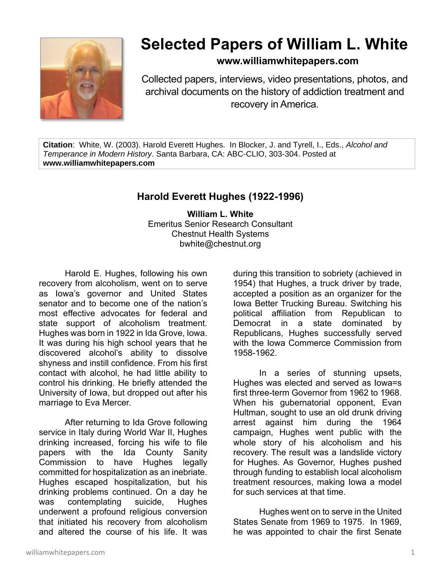

## **Selected Papers of William L. White**

## **www.williamwhitepapers.com**

Collected papers, interviews, video presentations, photos, and archival documents on the history of addiction treatment and recovery in America.

**Citation**: White, W. (2003). Harold Everett Hughes. In Blocker, J. and Tyrell, I., Eds., *Alcohol and Temperance in Modern History*. Santa Barbara, CA: ABC-CLIO, 303-304. Posted at **www.williamwhitepapers.com**

## **Harold Everett Hughes (1922-1996)**

**William L. White** Emeritus Senior Research Consultant Chestnut Health Systems bwhite@chestnut.org

Harold E. Hughes, following his own recovery from alcoholism, went on to serve as Iowa's governor and United States senator and to become one of the nation's most effective advocates for federal and state support of alcoholism treatment. Hughes was born in 1922 in Ida Grove, Iowa. It was during his high school years that he discovered alcohol's ability to dissolve shyness and instill confidence. From his first contact with alcohol, he had little ability to control his drinking. He briefly attended the University of Iowa, but dropped out after his marriage to Eva Mercer.

After returning to Ida Grove following service in Italy during World War II, Hughes drinking increased, forcing his wife to file papers with the Ida County Sanity Commission to have Hughes legally committed for hospitalization as an inebriate. Hughes escaped hospitalization, but his drinking problems continued. On a day he was contemplating suicide, Hughes underwent a profound religious conversion that initiated his recovery from alcoholism and altered the course of his life. It was

during this transition to sobriety (achieved in 1954) that Hughes, a truck driver by trade, accepted a position as an organizer for the Iowa Better Trucking Bureau. Switching his political affiliation from Republican to Democrat in a state dominated by Republicans, Hughes successfully served with the Iowa Commerce Commission from 1958-1962.

In a series of stunning upsets, Hughes was elected and served as Iowa=s first three-term Governor from 1962 to 1968. When his gubernatorial opponent, Evan Hultman, sought to use an old drunk driving arrest against him during the 1964 campaign, Hughes went public with the whole story of his alcoholism and his recovery. The result was a landslide victory for Hughes. As Governor, Hughes pushed through funding to establish local alcoholism treatment resources, making Iowa a model for such services at that time.

Hughes went on to serve in the United States Senate from 1969 to 1975. In 1969, he was appointed to chair the first Senate